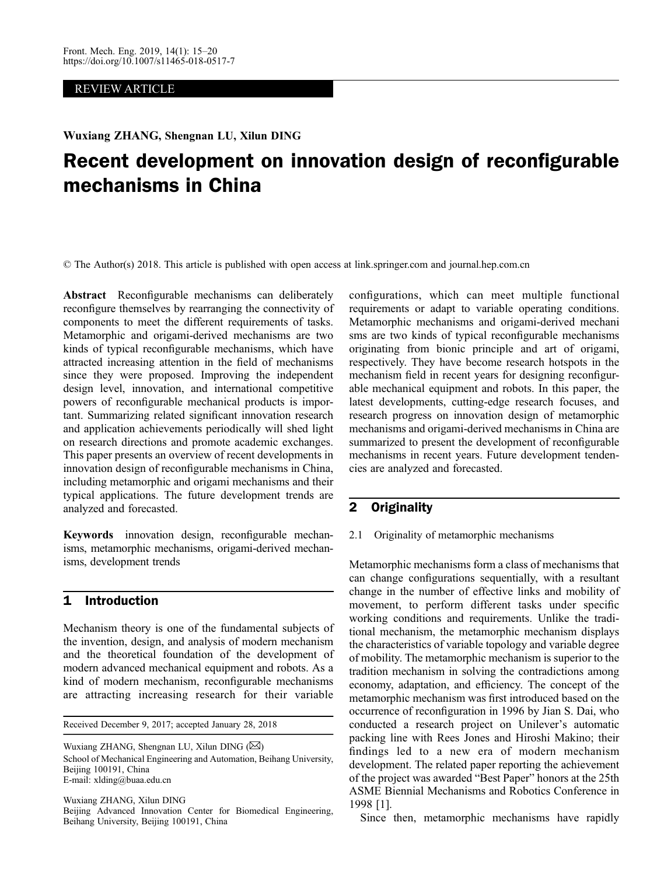### REVIEW ARTICLE

Wuxiang ZHANG, Shengnan LU, Xilun DING

# Recent development on innovation design of reconfigurable mechanisms in China

© The Author(s) 2018. This article is published with open access at link.springer.com and journal.hep.com.cn

Abstract Reconfigurable mechanisms can deliberately reconfigure themselves by rearranging the connectivity of components to meet the different requirements of tasks. Metamorphic and origami-derived mechanisms are two kinds of typical reconfigurable mechanisms, which have attracted increasing attention in the field of mechanisms since they were proposed. Improving the independent design level, innovation, and international competitive powers of reconfigurable mechanical products is important. Summarizing related significant innovation research and application achievements periodically will shed light on research directions and promote academic exchanges. This paper presents an overview of recent developments in innovation design of reconfigurable mechanisms in China, including metamorphic and origami mechanisms and their typical applications. The future development trends are analyzed and forecasted.

Keywords innovation design, reconfigurable mechanisms, metamorphic mechanisms, origami-derived mechanisms, development trends

# 1 Introduction

Mechanism theory is one of the fundamental subjects of the invention, design, and analysis of modern mechanism and the theoretical foundation of the development of modern advanced mechanical equipment and robots. As a kind of modern mechanism, reconfigurable mechanisms are attracting increasing research for their variable

Received December 9, 2017; accepted January 28, 2018

Wuxiang ZHANG, Shengnan LU, Xilun DING  $(\boxtimes)$ 

School of Mechanical Engineering and Automation, Beihang University, Beijing 100191, China E-mail: xlding@buaa.edu.cn

Wuxiang ZHANG, Xilun DING

Beijing Advanced Innovation Center for Biomedical Engineering, Beihang University, Beijing 100191, China

configurations, which can meet multiple functional requirements or adapt to variable operating conditions. Metamorphic mechanisms and origami-derived mechani sms are two kinds of typical reconfigurable mechanisms originating from bionic principle and art of origami, respectively. They have become research hotspots in the mechanism field in recent years for designing reconfigurable mechanical equipment and robots. In this paper, the latest developments, cutting-edge research focuses, and research progress on innovation design of metamorphic mechanisms and origami-derived mechanisms in China are summarized to present the development of reconfigurable mechanisms in recent years. Future development tendencies are analyzed and forecasted.

# 2 Originality

2.1 Originality of metamorphic mechanisms

Metamorphic mechanisms form a class of mechanisms that can change configurations sequentially, with a resultant change in the number of effective links and mobility of movement, to perform different tasks under specific working conditions and requirements. Unlike the traditional mechanism, the metamorphic mechanism displays the characteristics of variable topology and variable degree of mobility. The metamorphic mechanism is superior to the tradition mechanism in solving the contradictions among economy, adaptation, and efficiency. The concept of the metamorphic mechanism was first introduced based on the occurrence of reconfiguration in 1996 by Jian S. Dai, who conducted a research project on Unilever's automatic packing line with Rees Jones and Hiroshi Makino; their findings led to a new era of modern mechanism development. The related paper reporting the achievement of the project was awarded "Best Paper" honors at the 25th ASME Biennial Mechanisms and Robotics Conference in 1998 [[1\]](#page-4-0).

Since then, metamorphic mechanisms have rapidly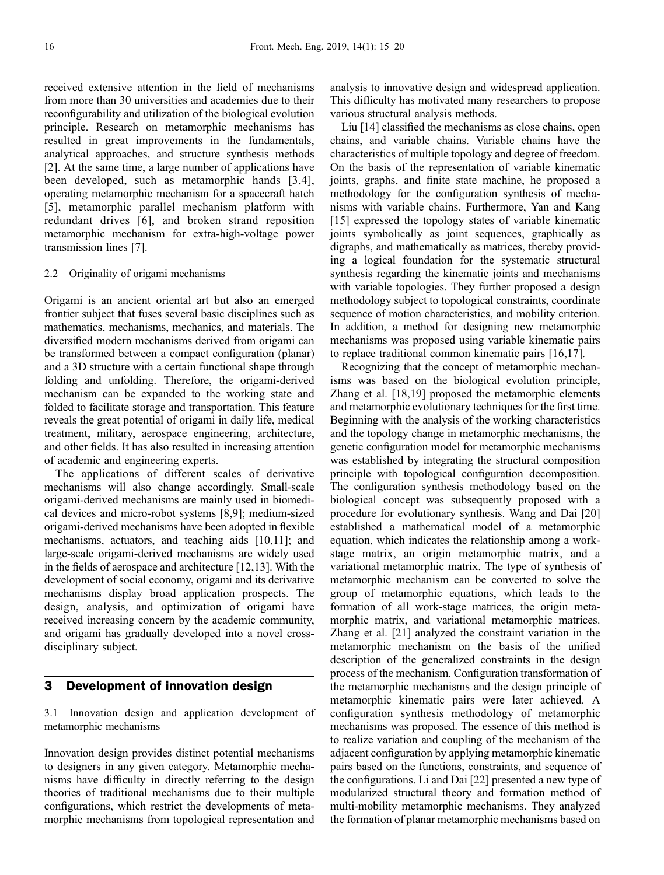received extensive attention in the field of mechanisms from more than 30 universities and academies due to their reconfigurability and utilization of the biological evolution principle. Research on metamorphic mechanisms has resulted in great improvements in the fundamentals, analytical approaches, and structure synthesis methods [\[2](#page-4-0)]. At the same time, a large number of applications have been developed, such as metamorphic hands [\[3,4\]](#page-4-0), operating metamorphic mechanism for a spacecraft hatch [\[5\]](#page-4-0), metamorphic parallel mechanism platform with redundant drives [[6](#page-4-0)], and broken strand reposition metamorphic mechanism for extra-high-voltage power transmission lines [\[7](#page-4-0)].

#### 2.2 Originality of origami mechanisms

Origami is an ancient oriental art but also an emerged frontier subject that fuses several basic disciplines such as mathematics, mechanisms, mechanics, and materials. The diversified modern mechanisms derived from origami can be transformed between a compact configuration (planar) and a 3D structure with a certain functional shape through folding and unfolding. Therefore, the origami-derived mechanism can be expanded to the working state and folded to facilitate storage and transportation. This feature reveals the great potential of origami in daily life, medical treatment, military, aerospace engineering, architecture, and other fields. It has also resulted in increasing attention of academic and engineering experts.

The applications of different scales of derivative mechanisms will also change accordingly. Small-scale origami-derived mechanisms are mainly used in biomedical devices and micro-robot systems [[8,9\]](#page-4-0); medium-sized origami-derived mechanisms have been adopted in flexible mechanisms, actuators, and teaching aids [[10](#page-4-0),[11](#page-4-0)]; and large-scale origami-derived mechanisms are widely used in the fields of aerospace and architecture [\[12,13\]](#page-4-0). With the development of social economy, origami and its derivative mechanisms display broad application prospects. The design, analysis, and optimization of origami have received increasing concern by the academic community, and origami has gradually developed into a novel crossdisciplinary subject.

## 3 Development of innovation design

3.1 Innovation design and application development of metamorphic mechanisms

Innovation design provides distinct potential mechanisms to designers in any given category. Metamorphic mechanisms have difficulty in directly referring to the design theories of traditional mechanisms due to their multiple configurations, which restrict the developments of metamorphic mechanisms from topological representation and

analysis to innovative design and widespread application. This difficulty has motivated many researchers to propose various structural analysis methods.

Liu [\[14\]](#page-4-0) classified the mechanisms as close chains, open chains, and variable chains. Variable chains have the characteristics of multiple topology and degree of freedom. On the basis of the representation of variable kinematic joints, graphs, and finite state machine, he proposed a methodology for the configuration synthesis of mechanisms with variable chains. Furthermore, Yan and Kang [[15](#page-4-0)] expressed the topology states of variable kinematic joints symbolically as joint sequences, graphically as digraphs, and mathematically as matrices, thereby providing a logical foundation for the systematic structural synthesis regarding the kinematic joints and mechanisms with variable topologies. They further proposed a design methodology subject to topological constraints, coordinate sequence of motion characteristics, and mobility criterion. In addition, a method for designing new metamorphic mechanisms was proposed using variable kinematic pairs to replace traditional common kinematic pairs [[16](#page-4-0),[17](#page-4-0)].

Recognizing that the concept of metamorphic mechanisms was based on the biological evolution principle, Zhang et al. [[18](#page-4-0),[19](#page-4-0)] proposed the metamorphic elements and metamorphic evolutionary techniques for the first time. Beginning with the analysis of the working characteristics and the topology change in metamorphic mechanisms, the genetic configuration model for metamorphic mechanisms was established by integrating the structural composition principle with topological configuration decomposition. The configuration synthesis methodology based on the biological concept was subsequently proposed with a procedure for evolutionary synthesis. Wang and Dai [[20](#page-4-0)] established a mathematical model of a metamorphic equation, which indicates the relationship among a workstage matrix, an origin metamorphic matrix, and a variational metamorphic matrix. The type of synthesis of metamorphic mechanism can be converted to solve the group of metamorphic equations, which leads to the formation of all work-stage matrices, the origin metamorphic matrix, and variational metamorphic matrices. Zhang et al. [[21](#page-4-0)] analyzed the constraint variation in the metamorphic mechanism on the basis of the unified description of the generalized constraints in the design process of the mechanism. Configuration transformation of the metamorphic mechanisms and the design principle of metamorphic kinematic pairs were later achieved. A configuration synthesis methodology of metamorphic mechanisms was proposed. The essence of this method is to realize variation and coupling of the mechanism of the adjacent configuration by applying metamorphic kinematic pairs based on the functions, constraints, and sequence of the configurations. Li and Dai [\[22](#page-4-0)] presented a new type of modularized structural theory and formation method of multi-mobility metamorphic mechanisms. They analyzed the formation of planar metamorphic mechanisms based on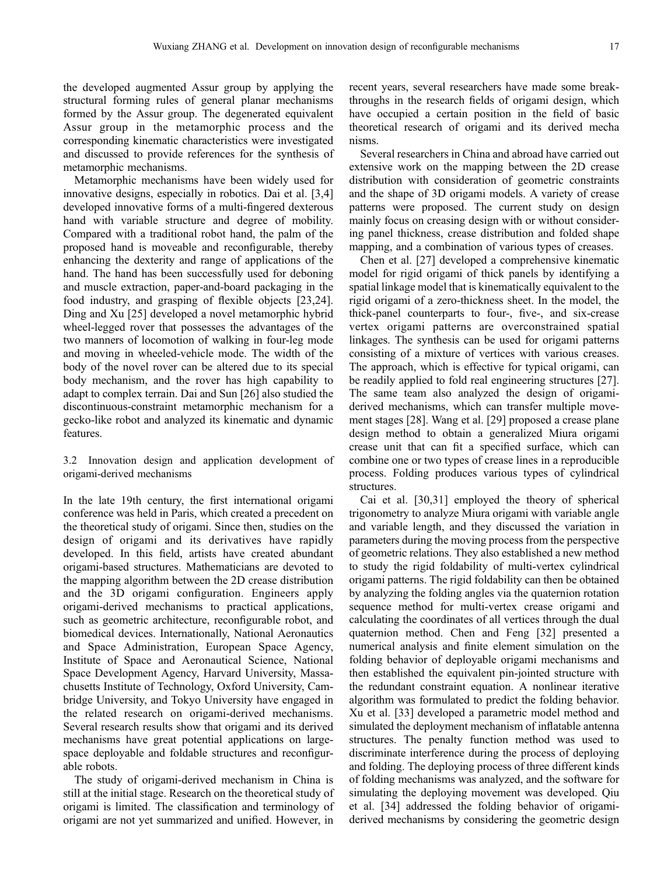the developed augmented Assur group by applying the structural forming rules of general planar mechanisms formed by the Assur group. The degenerated equivalent Assur group in the metamorphic process and the corresponding kinematic characteristics were investigated and discussed to provide references for the synthesis of metamorphic mechanisms.

Metamorphic mechanisms have been widely used for innovative designs, especially in robotics. Dai et al. [[3,4\]](#page-4-0) developed innovative forms of a multi-fingered dexterous hand with variable structure and degree of mobility. Compared with a traditional robot hand, the palm of the proposed hand is moveable and reconfigurable, thereby enhancing the dexterity and range of applications of the hand. The hand has been successfully used for deboning and muscle extraction, paper-and-board packaging in the food industry, and grasping of flexible objects [[23](#page-4-0),[24](#page-4-0)]. Ding and Xu [[25](#page-4-0)] developed a novel metamorphic hybrid wheel-legged rover that possesses the advantages of the two manners of locomotion of walking in four-leg mode and moving in wheeled-vehicle mode. The width of the body of the novel rover can be altered due to its special body mechanism, and the rover has high capability to adapt to complex terrain. Dai and Sun [[26](#page-4-0)] also studied the discontinuous-constraint metamorphic mechanism for a gecko-like robot and analyzed its kinematic and dynamic features.

3.2 Innovation design and application development of origami-derived mechanisms

In the late 19th century, the first international origami conference was held in Paris, which created a precedent on the theoretical study of origami. Since then, studies on the design of origami and its derivatives have rapidly developed. In this field, artists have created abundant origami-based structures. Mathematicians are devoted to the mapping algorithm between the 2D crease distribution and the 3D origami configuration. Engineers apply origami-derived mechanisms to practical applications, such as geometric architecture, reconfigurable robot, and biomedical devices. Internationally, National Aeronautics and Space Administration, European Space Agency, Institute of Space and Aeronautical Science, National Space Development Agency, Harvard University, Massachusetts Institute of Technology, Oxford University, Cambridge University, and Tokyo University have engaged in the related research on origami-derived mechanisms. Several research results show that origami and its derived mechanisms have great potential applications on largespace deployable and foldable structures and reconfigurable robots.

The study of origami-derived mechanism in China is still at the initial stage. Research on the theoretical study of origami is limited. The classification and terminology of origami are not yet summarized and unified. However, in

recent years, several researchers have made some breakthroughs in the research fields of origami design, which have occupied a certain position in the field of basic theoretical research of origami and its derived mecha nisms.

Several researchers in China and abroad have carried out extensive work on the mapping between the 2D crease distribution with consideration of geometric constraints and the shape of 3D origami models. A variety of crease patterns were proposed. The current study on design mainly focus on creasing design with or without considering panel thickness, crease distribution and folded shape mapping, and a combination of various types of creases.

Chen et al. [[27](#page-4-0)] developed a comprehensive kinematic model for rigid origami of thick panels by identifying a spatial linkage model that is kinematically equivalent to the rigid origami of a zero-thickness sheet. In the model, the thick-panel counterparts to four-, five-, and six-crease vertex origami patterns are overconstrained spatial linkages. The synthesis can be used for origami patterns consisting of a mixture of vertices with various creases. The approach, which is effective for typical origami, can be readily applied to fold real engineering structures [\[27\]](#page-4-0). The same team also analyzed the design of origamiderived mechanisms, which can transfer multiple movement stages [[28](#page-5-0)]. Wang et al. [\[29\]](#page-5-0) proposed a crease plane design method to obtain a generalized Miura origami crease unit that can fit a specified surface, which can combine one or two types of crease lines in a reproducible process. Folding produces various types of cylindrical structures.

Cai et al. [\[30,31\]](#page-5-0) employed the theory of spherical trigonometry to analyze Miura origami with variable angle and variable length, and they discussed the variation in parameters during the moving process from the perspective of geometric relations. They also established a new method to study the rigid foldability of multi-vertex cylindrical origami patterns. The rigid foldability can then be obtained by analyzing the folding angles via the quaternion rotation sequence method for multi-vertex crease origami and calculating the coordinates of all vertices through the dual quaternion method. Chen and Feng [[32](#page-5-0)] presented a numerical analysis and finite element simulation on the folding behavior of deployable origami mechanisms and then established the equivalent pin-jointed structure with the redundant constraint equation. A nonlinear iterative algorithm was formulated to predict the folding behavior. Xu et al. [\[33\]](#page-5-0) developed a parametric model method and simulated the deployment mechanism of inflatable antenna structures. The penalty function method was used to discriminate interference during the process of deploying and folding. The deploying process of three different kinds of folding mechanisms was analyzed, and the software for simulating the deploying movement was developed. Qiu et al. [[34](#page-5-0)] addressed the folding behavior of origamiderived mechanisms by considering the geometric design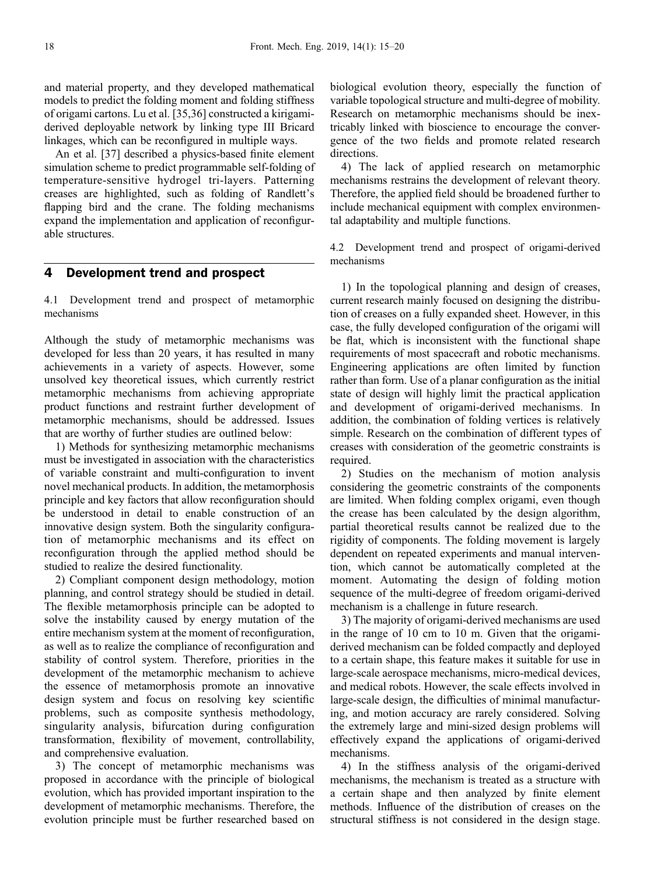and material property, and they developed mathematical models to predict the folding moment and folding stiffness of origami cartons. Lu et al. [\[35,36\]](#page-5-0) constructed a kirigamiderived deployable network by linking type III Bricard linkages, which can be reconfigured in multiple ways.

An et al. [[37](#page-5-0)] described a physics-based finite element simulation scheme to predict programmable self-folding of temperature-sensitive hydrogel tri-layers. Patterning creases are highlighted, such as folding of Randlett's flapping bird and the crane. The folding mechanisms expand the implementation and application of reconfigurable structures.

## 4 Development trend and prospect

4.1 Development trend and prospect of metamorphic mechanisms

Although the study of metamorphic mechanisms was developed for less than 20 years, it has resulted in many achievements in a variety of aspects. However, some unsolved key theoretical issues, which currently restrict metamorphic mechanisms from achieving appropriate product functions and restraint further development of metamorphic mechanisms, should be addressed. Issues that are worthy of further studies are outlined below:

1) Methods for synthesizing metamorphic mechanisms must be investigated in association with the characteristics of variable constraint and multi-configuration to invent novel mechanical products. In addition, the metamorphosis principle and key factors that allow reconfiguration should be understood in detail to enable construction of an innovative design system. Both the singularity configuration of metamorphic mechanisms and its effect on reconfiguration through the applied method should be studied to realize the desired functionality.

2) Compliant component design methodology, motion planning, and control strategy should be studied in detail. The flexible metamorphosis principle can be adopted to solve the instability caused by energy mutation of the entire mechanism system at the moment of reconfiguration, as well as to realize the compliance of reconfiguration and stability of control system. Therefore, priorities in the development of the metamorphic mechanism to achieve the essence of metamorphosis promote an innovative design system and focus on resolving key scientific problems, such as composite synthesis methodology, singularity analysis, bifurcation during configuration transformation, flexibility of movement, controllability, and comprehensive evaluation.

3) The concept of metamorphic mechanisms was proposed in accordance with the principle of biological evolution, which has provided important inspiration to the development of metamorphic mechanisms. Therefore, the evolution principle must be further researched based on

biological evolution theory, especially the function of variable topological structure and multi-degree of mobility. Research on metamorphic mechanisms should be inextricably linked with bioscience to encourage the convergence of the two fields and promote related research directions.

4) The lack of applied research on metamorphic mechanisms restrains the development of relevant theory. Therefore, the applied field should be broadened further to include mechanical equipment with complex environmental adaptability and multiple functions.

4.2 Development trend and prospect of origami-derived mechanisms

1) In the topological planning and design of creases, current research mainly focused on designing the distribution of creases on a fully expanded sheet. However, in this case, the fully developed configuration of the origami will be flat, which is inconsistent with the functional shape requirements of most spacecraft and robotic mechanisms. Engineering applications are often limited by function rather than form. Use of a planar configuration as the initial state of design will highly limit the practical application and development of origami-derived mechanisms. In addition, the combination of folding vertices is relatively simple. Research on the combination of different types of creases with consideration of the geometric constraints is required.

2) Studies on the mechanism of motion analysis considering the geometric constraints of the components are limited. When folding complex origami, even though the crease has been calculated by the design algorithm, partial theoretical results cannot be realized due to the rigidity of components. The folding movement is largely dependent on repeated experiments and manual intervention, which cannot be automatically completed at the moment. Automating the design of folding motion sequence of the multi-degree of freedom origami-derived mechanism is a challenge in future research.

3) The majority of origami-derived mechanisms are used in the range of 10 cm to 10 m. Given that the origamiderived mechanism can be folded compactly and deployed to a certain shape, this feature makes it suitable for use in large-scale aerospace mechanisms, micro-medical devices, and medical robots. However, the scale effects involved in large-scale design, the difficulties of minimal manufacturing, and motion accuracy are rarely considered. Solving the extremely large and mini-sized design problems will effectively expand the applications of origami-derived mechanisms.

4) In the stiffness analysis of the origami-derived mechanisms, the mechanism is treated as a structure with a certain shape and then analyzed by finite element methods. Influence of the distribution of creases on the structural stiffness is not considered in the design stage.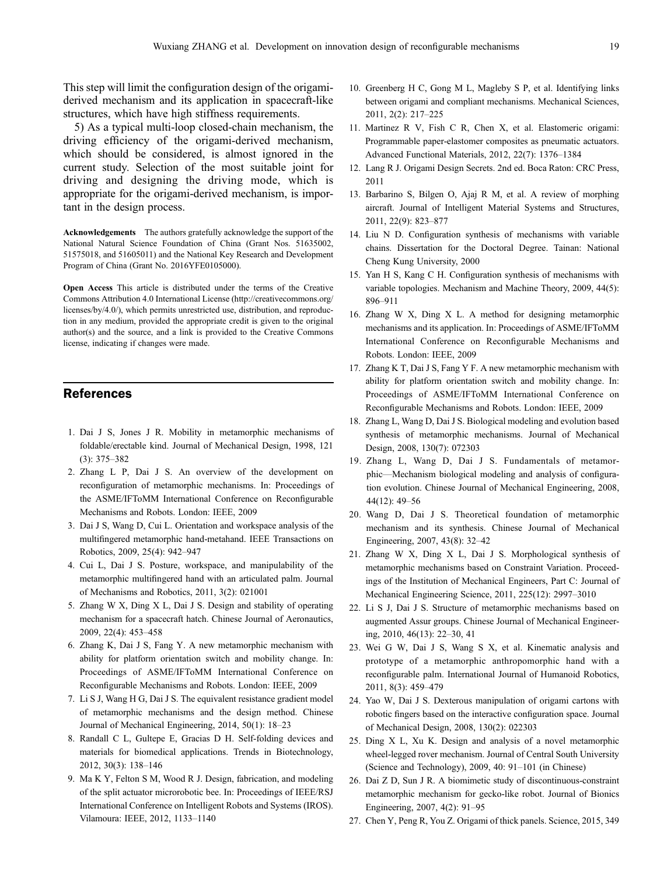<span id="page-4-0"></span>This step will limit the configuration design of the origamiderived mechanism and its application in spacecraft-like structures, which have high stiffness requirements.

5) As a typical multi-loop closed-chain mechanism, the driving efficiency of the origami-derived mechanism, which should be considered, is almost ignored in the current study. Selection of the most suitable joint for driving and designing the driving mode, which is appropriate for the origami-derived mechanism, is important in the design process.

Acknowledgements The authors gratefully acknowledge the support of the National Natural Science Foundation of China (Grant Nos. 51635002, 51575018, and 51605011) and the National Key Research and Development Program of China (Grant No. 2016YFE0105000).

Open Access This article is distributed under the terms of the Creative Commons Attribution 4.0 International License (http://creativecommons.org/ licenses/by/4.0/), which permits unrestricted use, distribution, and reproduction in any medium, provided the appropriate credit is given to the original author(s) and the source, and a link is provided to the Creative Commons license, indicating if changes were made.

#### References

- 1. Dai J S, Jones J R. Mobility in metamorphic mechanisms of foldable/erectable kind. Journal of Mechanical Design, 1998, 121 (3): 375–382
- 2. Zhang L P, Dai J S. An overview of the development on reconfiguration of metamorphic mechanisms. In: Proceedings of the ASME/IFToMM International Conference on Reconfigurable Mechanisms and Robots. London: IEEE, 2009
- 3. Dai J S, Wang D, Cui L. Orientation and workspace analysis of the multifingered metamorphic hand-metahand. IEEE Transactions on Robotics, 2009, 25(4): 942–947
- 4. Cui L, Dai J S. Posture, workspace, and manipulability of the metamorphic multifingered hand with an articulated palm. Journal of Mechanisms and Robotics, 2011, 3(2): 021001
- 5. Zhang W X, Ding X L, Dai J S. Design and stability of operating mechanism for a spacecraft hatch. Chinese Journal of Aeronautics, 2009, 22(4): 453–458
- 6. Zhang K, Dai J S, Fang Y. A new metamorphic mechanism with ability for platform orientation switch and mobility change. In: Proceedings of ASME/IFToMM International Conference on Reconfigurable Mechanisms and Robots. London: IEEE, 2009
- 7. Li S J, Wang H G, Dai J S. The equivalent resistance gradient model of metamorphic mechanisms and the design method. Chinese Journal of Mechanical Engineering, 2014, 50(1): 18–23
- 8. Randall C L, Gultepe E, Gracias D H. Self-folding devices and materials for biomedical applications. Trends in Biotechnology, 2012, 30(3): 138–146
- 9. Ma K Y, Felton S M, Wood R J. Design, fabrication, and modeling of the split actuator microrobotic bee. In: Proceedings of IEEE/RSJ International Conference on Intelligent Robots and Systems (IROS). Vilamoura: IEEE, 2012, 1133–1140
- 10. Greenberg H C, Gong M L, Magleby S P, et al. Identifying links between origami and compliant mechanisms. Mechanical Sciences, 2011, 2(2): 217–225
- 11. Martinez R V, Fish C R, Chen X, et al. Elastomeric origami: Programmable paper-elastomer composites as pneumatic actuators. Advanced Functional Materials, 2012, 22(7): 1376–1384
- 12. Lang R J. Origami Design Secrets. 2nd ed. Boca Raton: CRC Press, 2011
- 13. Barbarino S, Bilgen O, Ajaj R M, et al. A review of morphing aircraft. Journal of Intelligent Material Systems and Structures, 2011, 22(9): 823–877
- 14. Liu N D. Configuration synthesis of mechanisms with variable chains. Dissertation for the Doctoral Degree. Tainan: National Cheng Kung University, 2000
- 15. Yan H S, Kang C H. Configuration synthesis of mechanisms with variable topologies. Mechanism and Machine Theory, 2009, 44(5): 896–911
- 16. Zhang W X, Ding X L. A method for designing metamorphic mechanisms and its application. In: Proceedings of ASME/IFToMM International Conference on Reconfigurable Mechanisms and Robots. London: IEEE, 2009
- 17. Zhang K T, Dai J S, Fang Y F. A new metamorphic mechanism with ability for platform orientation switch and mobility change. In: Proceedings of ASME/IFToMM International Conference on Reconfigurable Mechanisms and Robots. London: IEEE, 2009
- 18. Zhang L, Wang D, Dai J S. Biological modeling and evolution based synthesis of metamorphic mechanisms. Journal of Mechanical Design, 2008, 130(7): 072303
- 19. Zhang L, Wang D, Dai J S. Fundamentals of metamorphic—Mechanism biological modeling and analysis of configuration evolution. Chinese Journal of Mechanical Engineering, 2008, 44(12): 49–56
- 20. Wang D, Dai J S. Theoretical foundation of metamorphic mechanism and its synthesis. Chinese Journal of Mechanical Engineering, 2007, 43(8): 32–42
- 21. Zhang W X, Ding X L, Dai J S. Morphological synthesis of metamorphic mechanisms based on Constraint Variation. Proceedings of the Institution of Mechanical Engineers, Part C: Journal of Mechanical Engineering Science, 2011, 225(12): 2997–3010
- 22. Li S J, Dai J S. Structure of metamorphic mechanisms based on augmented Assur groups. Chinese Journal of Mechanical Engineering, 2010, 46(13): 22–30, 41
- 23. Wei G W, Dai J S, Wang S X, et al. Kinematic analysis and prototype of a metamorphic anthropomorphic hand with a reconfigurable palm. International Journal of Humanoid Robotics, 2011, 8(3): 459–479
- 24. Yao W, Dai J S. Dexterous manipulation of origami cartons with robotic fingers based on the interactive configuration space. Journal of Mechanical Design, 2008, 130(2): 022303
- 25. Ding X L, Xu K. Design and analysis of a novel metamorphic wheel-legged rover mechanism. Journal of Central South University (Science and Technology), 2009, 40: 91–101 (in Chinese)
- 26. Dai Z D, Sun J R. A biomimetic study of discontinuous-constraint metamorphic mechanism for gecko-like robot. Journal of Bionics Engineering, 2007, 4(2): 91–95
- 27. Chen Y, Peng R, You Z. Origami of thick panels. Science, 2015, 349